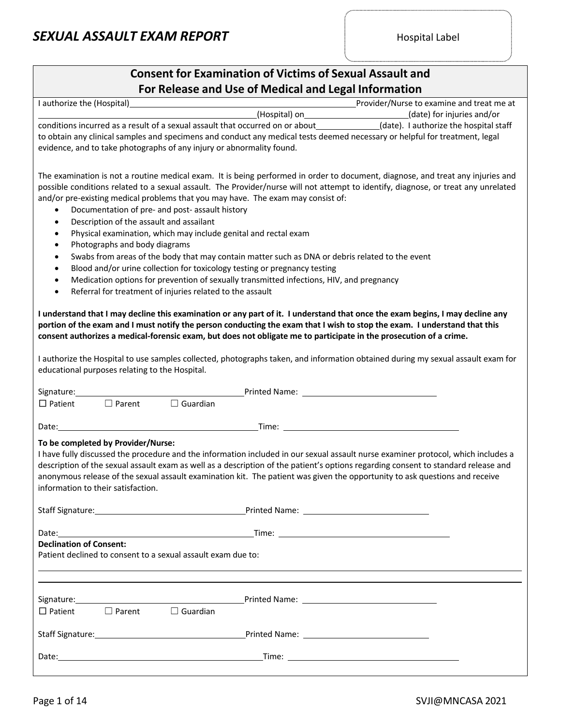#### **Consent for Examination of Victims of Sexual Assault and For Release and Use of Medical and Legal Information**

| For Release and Ose of Medical and Legal information                                                                                                                                                                                          |                                           |
|-----------------------------------------------------------------------------------------------------------------------------------------------------------------------------------------------------------------------------------------------|-------------------------------------------|
| I authorize the (Hospital)                                                                                                                                                                                                                    | Provider/Nurse to examine and treat me at |
|                                                                                                                                                                                                                                               | (date) for injuries and/or                |
| conditions incurred as a result of a sexual assault that occurred on or about (date). I authorize the hospital staff                                                                                                                          |                                           |
| to obtain any clinical samples and specimens and conduct any medical tests deemed necessary or helpful for treatment, legal                                                                                                                   |                                           |
| evidence, and to take photographs of any injury or abnormality found.                                                                                                                                                                         |                                           |
|                                                                                                                                                                                                                                               |                                           |
| The examination is not a routine medical exam. It is being performed in order to document, diagnose, and treat any injuries and                                                                                                               |                                           |
| possible conditions related to a sexual assault. The Provider/nurse will not attempt to identify, diagnose, or treat any unrelated                                                                                                            |                                           |
| and/or pre-existing medical problems that you may have. The exam may consist of:                                                                                                                                                              |                                           |
| Documentation of pre- and post- assault history<br>$\bullet$                                                                                                                                                                                  |                                           |
| Description of the assault and assailant<br>$\bullet$                                                                                                                                                                                         |                                           |
| Physical examination, which may include genital and rectal exam<br>$\bullet$                                                                                                                                                                  |                                           |
| Photographs and body diagrams<br>$\bullet$                                                                                                                                                                                                    |                                           |
| Swabs from areas of the body that may contain matter such as DNA or debris related to the event<br>$\bullet$                                                                                                                                  |                                           |
| Blood and/or urine collection for toxicology testing or pregnancy testing<br>$\bullet$                                                                                                                                                        |                                           |
| Medication options for prevention of sexually transmitted infections, HIV, and pregnancy<br>$\bullet$                                                                                                                                         |                                           |
| Referral for treatment of injuries related to the assault<br>$\bullet$                                                                                                                                                                        |                                           |
|                                                                                                                                                                                                                                               |                                           |
| I understand that I may decline this examination or any part of it. I understand that once the exam begins, I may decline any                                                                                                                 |                                           |
| portion of the exam and I must notify the person conducting the exam that I wish to stop the exam. I understand that this                                                                                                                     |                                           |
| consent authorizes a medical-forensic exam, but does not obligate me to participate in the prosecution of a crime.                                                                                                                            |                                           |
|                                                                                                                                                                                                                                               |                                           |
| I authorize the Hospital to use samples collected, photographs taken, and information obtained during my sexual assault exam for                                                                                                              |                                           |
| educational purposes relating to the Hospital.                                                                                                                                                                                                |                                           |
|                                                                                                                                                                                                                                               |                                           |
| <b>Example 2018</b> Printed Name: Name: 2018 2019 2019 2022 2023 2024 2022 2023 2024 2022 2023 2024 2025 2026 2027 20                                                                                                                         |                                           |
| $\Box$ Guardian<br>$\Box$ Parent<br>$\Box$ Patient                                                                                                                                                                                            |                                           |
|                                                                                                                                                                                                                                               |                                           |
| <u>Time: Time: Time: Time: Time: Time: Time: Time: Time: Time: Time: Time: Time: Time: Time: Time: Time: Time: Time: Time: Time: Time: Time: Time: Time: Time: Time: Time: Time: Time: Time: Time: Time: Time: Time: Time: Time:</u><br>Date: |                                           |
| To be completed by Provider/Nurse:                                                                                                                                                                                                            |                                           |
| I have fully discussed the procedure and the information included in our sexual assault nurse examiner protocol, which includes a                                                                                                             |                                           |
| description of the sexual assault exam as well as a description of the patient's options regarding consent to standard release and                                                                                                            |                                           |
| anonymous release of the sexual assault examination kit. The patient was given the opportunity to ask questions and receive                                                                                                                   |                                           |
| information to their satisfaction.                                                                                                                                                                                                            |                                           |
|                                                                                                                                                                                                                                               |                                           |
|                                                                                                                                                                                                                                               |                                           |
|                                                                                                                                                                                                                                               |                                           |
|                                                                                                                                                                                                                                               |                                           |
| <b>Declination of Consent:</b>                                                                                                                                                                                                                |                                           |
| Patient declined to consent to a sexual assault exam due to:                                                                                                                                                                                  |                                           |
|                                                                                                                                                                                                                                               |                                           |
|                                                                                                                                                                                                                                               |                                           |
|                                                                                                                                                                                                                                               |                                           |
|                                                                                                                                                                                                                                               |                                           |
|                                                                                                                                                                                                                                               |                                           |
|                                                                                                                                                                                                                                               |                                           |
|                                                                                                                                                                                                                                               |                                           |
|                                                                                                                                                                                                                                               |                                           |
|                                                                                                                                                                                                                                               |                                           |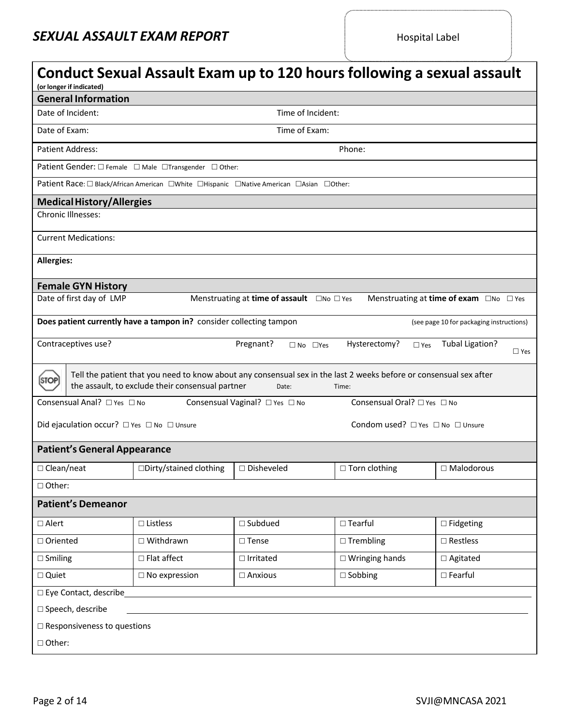..................................

| (or longer if indicated)                   | Conduct Sexual Assault Exam up to 120 hours following a sexual assault                                                                                                 |                                                      |                                  |                                                   |  |  |  |  |
|--------------------------------------------|------------------------------------------------------------------------------------------------------------------------------------------------------------------------|------------------------------------------------------|----------------------------------|---------------------------------------------------|--|--|--|--|
| <b>General Information</b>                 |                                                                                                                                                                        |                                                      |                                  |                                                   |  |  |  |  |
| Date of Incident:<br>Time of Incident:     |                                                                                                                                                                        |                                                      |                                  |                                                   |  |  |  |  |
| Time of Exam:<br>Date of Exam:             |                                                                                                                                                                        |                                                      |                                  |                                                   |  |  |  |  |
| <b>Patient Address:</b>                    |                                                                                                                                                                        |                                                      | Phone:                           |                                                   |  |  |  |  |
|                                            | Patient Gender: □ Female □ Male □Transgender □ Other:                                                                                                                  |                                                      |                                  |                                                   |  |  |  |  |
|                                            | Patient Race: □ Black/African American □ White □ Hispanic □ Native American □ Asian □ Other:                                                                           |                                                      |                                  |                                                   |  |  |  |  |
| <b>Medical History/Allergies</b>           |                                                                                                                                                                        |                                                      |                                  |                                                   |  |  |  |  |
| Chronic Illnesses:                         |                                                                                                                                                                        |                                                      |                                  |                                                   |  |  |  |  |
| <b>Current Medications:</b>                |                                                                                                                                                                        |                                                      |                                  |                                                   |  |  |  |  |
| <b>Allergies:</b>                          |                                                                                                                                                                        |                                                      |                                  |                                                   |  |  |  |  |
| <b>Female GYN History</b>                  |                                                                                                                                                                        |                                                      |                                  |                                                   |  |  |  |  |
| Date of first day of LMP                   |                                                                                                                                                                        | Menstruating at time of assault $\Box$ No $\Box$ Yes |                                  | Menstruating at time of exam $\Box$ No $\Box$ Yes |  |  |  |  |
|                                            | Does patient currently have a tampon in? consider collecting tampon                                                                                                    |                                                      |                                  | (see page 10 for packaging instructions)          |  |  |  |  |
| Contraceptives use?                        |                                                                                                                                                                        | Pregnant?<br>$\Box$ No $\Box$ Yes                    | Hysterectomy?<br>$\square$ Yes   | <b>Tubal Ligation?</b><br>$\Box$ Yes              |  |  |  |  |
| STOP                                       | Tell the patient that you need to know about any consensual sex in the last 2 weeks before or consensual sex after<br>the assault, to exclude their consensual partner | Date:                                                | Time:                            |                                                   |  |  |  |  |
| Consensual Anal? □ Yes □ No                |                                                                                                                                                                        | Consensual Vaginal? □ Yes □ No                       | Consensual Oral? □ Yes □ No      |                                                   |  |  |  |  |
| Did ejaculation occur? □ Yes □ No □ Unsure |                                                                                                                                                                        |                                                      | Condom used? □ Yes □ No □ Unsure |                                                   |  |  |  |  |
| <b>Patient's General Appearance</b>        |                                                                                                                                                                        |                                                      |                                  |                                                   |  |  |  |  |
| $\Box$ Clean/neat                          | □Dirty/stained clothing                                                                                                                                                | □ Disheveled                                         | $\Box$ Torn clothing             | $\Box$ Malodorous                                 |  |  |  |  |
| $\Box$ Other:                              |                                                                                                                                                                        |                                                      |                                  |                                                   |  |  |  |  |
| <b>Patient's Demeanor</b>                  |                                                                                                                                                                        |                                                      |                                  |                                                   |  |  |  |  |
| $\square$ Alert                            | $\square$ Listless                                                                                                                                                     | $\square$ Subdued                                    | $\square$ Tearful                | $\square$ Fidgeting                               |  |  |  |  |
| $\Box$ Oriented                            | $\Box$ Withdrawn                                                                                                                                                       | $\square$ Tense                                      | $\Box$ Trembling                 | $\square$ Restless                                |  |  |  |  |
| $\square$ Smiling                          | $\square$ Flat affect                                                                                                                                                  | $\Box$ Irritated                                     | $\Box$ Wringing hands            | □ Agitated                                        |  |  |  |  |
| □ Quiet                                    | $\square$ No expression                                                                                                                                                | $\Box$ Anxious                                       | $\square$ Sobbing                | $\square$ Fearful                                 |  |  |  |  |
| □ Eye Contact, describe                    |                                                                                                                                                                        |                                                      |                                  |                                                   |  |  |  |  |
| □ Speech, describe                         |                                                                                                                                                                        |                                                      |                                  |                                                   |  |  |  |  |
| $\square$ Responsiveness to questions      |                                                                                                                                                                        |                                                      |                                  |                                                   |  |  |  |  |
| $\Box$ Other:                              |                                                                                                                                                                        |                                                      |                                  |                                                   |  |  |  |  |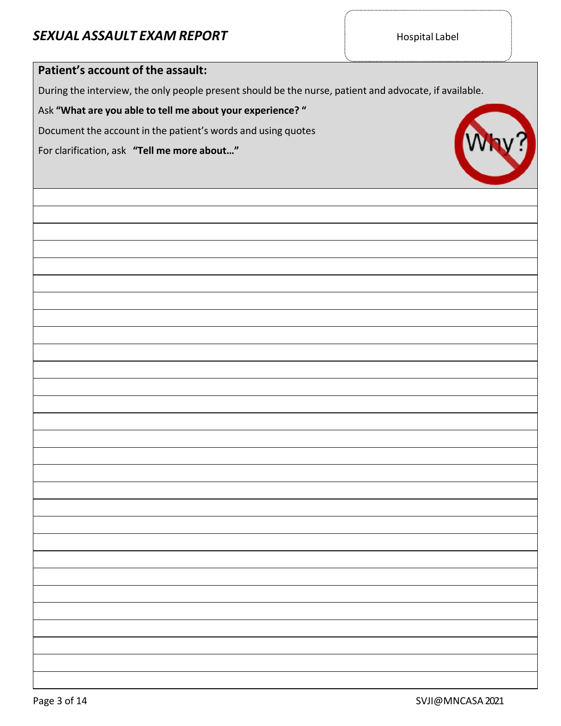| Patient's account of the assault:                                                                      |
|--------------------------------------------------------------------------------------------------------|
| During the interview, the only people present should be the nurse, patient and advocate, if available. |
| Ask "What are you able to tell me about your experience? "                                             |
| Document the account in the patient's words and using quotes                                           |
| For clarification, ask "Tell me more about"                                                            |
|                                                                                                        |
|                                                                                                        |
|                                                                                                        |
|                                                                                                        |
|                                                                                                        |
|                                                                                                        |
|                                                                                                        |
|                                                                                                        |
|                                                                                                        |
|                                                                                                        |
|                                                                                                        |
|                                                                                                        |
|                                                                                                        |
|                                                                                                        |
|                                                                                                        |
|                                                                                                        |
|                                                                                                        |
|                                                                                                        |
|                                                                                                        |
|                                                                                                        |
|                                                                                                        |
|                                                                                                        |
|                                                                                                        |
|                                                                                                        |
|                                                                                                        |
|                                                                                                        |
|                                                                                                        |
|                                                                                                        |

 $\overline{\phantom{a}}$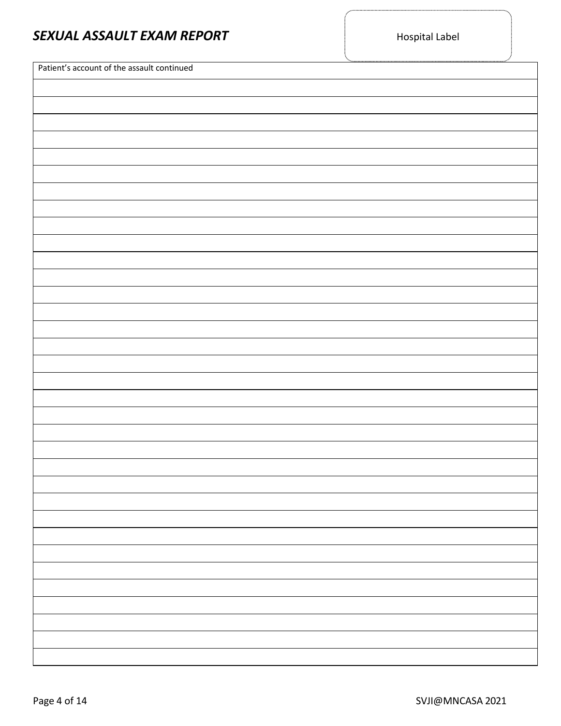| SEXUAL ASSAULT EXAM REPORT                 | <b>Hospital Label</b> | )<br>Z |
|--------------------------------------------|-----------------------|--------|
| Patient's account of the assault continued |                       |        |
|                                            |                       |        |
|                                            |                       |        |
|                                            |                       |        |
|                                            |                       |        |
|                                            |                       |        |
|                                            |                       |        |
|                                            |                       |        |
|                                            |                       |        |
|                                            |                       |        |
|                                            |                       |        |
|                                            |                       |        |
|                                            |                       |        |
|                                            |                       |        |
|                                            |                       |        |
|                                            |                       |        |
|                                            |                       |        |
|                                            |                       |        |
|                                            |                       |        |
|                                            |                       |        |
|                                            |                       |        |
|                                            |                       |        |
|                                            |                       |        |
|                                            |                       |        |
|                                            |                       |        |
|                                            |                       |        |
|                                            |                       |        |
|                                            |                       |        |
|                                            |                       |        |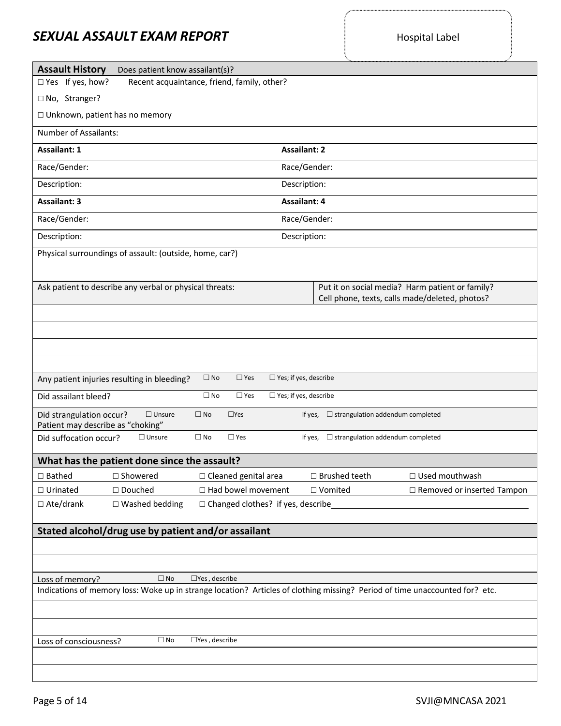.......................

..........................

| <b>Assault History</b><br>Does patient know assailant(s)?                                                                   |                                                                                                   |
|-----------------------------------------------------------------------------------------------------------------------------|---------------------------------------------------------------------------------------------------|
| $\Box$ Yes If yes, how?<br>Recent acquaintance, friend, family, other?                                                      |                                                                                                   |
| □ No, Stranger?                                                                                                             |                                                                                                   |
| $\Box$ Unknown, patient has no memory                                                                                       |                                                                                                   |
| Number of Assailants:                                                                                                       |                                                                                                   |
| <b>Assailant: 2</b><br>Assailant: 1                                                                                         |                                                                                                   |
| Race/Gender:<br>Race/Gender:                                                                                                |                                                                                                   |
| Description:<br>Description:                                                                                                |                                                                                                   |
| <b>Assailant: 3</b><br><b>Assailant: 4</b>                                                                                  |                                                                                                   |
| Race/Gender:<br>Race/Gender:                                                                                                |                                                                                                   |
| Description:<br>Description:                                                                                                |                                                                                                   |
| Physical surroundings of assault: (outside, home, car?)                                                                     |                                                                                                   |
| Ask patient to describe any verbal or physical threats:                                                                     | Put it on social media? Harm patient or family?<br>Cell phone, texts, calls made/deleted, photos? |
|                                                                                                                             |                                                                                                   |
|                                                                                                                             |                                                                                                   |
|                                                                                                                             |                                                                                                   |
|                                                                                                                             |                                                                                                   |
| $\square$ No<br>$\square$ Yes<br>$\Box$ Yes; if yes, describe<br>Any patient injuries resulting in bleeding?                |                                                                                                   |
| Did assailant bleed?<br>$\square$ Yes<br>$\Box$ Yes; if yes, describe<br>$\square$ No                                       |                                                                                                   |
| Did strangulation occur?<br>$\Box$ Unsure<br>$\square$ No<br>$\Box$ Yes<br>Patient may describe as "choking"                | $\Box$ strangulation addendum completed<br>if yes,                                                |
| Did suffocation occur?<br>$\square$ No<br>$\Box$ Unsure<br>$\square$ Yes                                                    | if yes, $\Box$ strangulation addendum completed                                                   |
| What has the patient done since the assault?                                                                                |                                                                                                   |
| $\Box$ Showered<br>$\Box$ Cleaned genital area<br>$\Box$ Bathed                                                             | □ Brushed teeth<br>□ Used mouthwash                                                               |
| □ Douched<br>□ Had bowel movement<br>□ Urinated                                                                             | □ Vomited<br>□ Removed or inserted Tampon                                                         |
| $\Box$ Changed clothes? if yes, describe<br>$\Box$ Ate/drank<br>$\square$ Washed bedding                                    |                                                                                                   |
| Stated alcohol/drug use by patient and/or assailant                                                                         |                                                                                                   |
|                                                                                                                             |                                                                                                   |
|                                                                                                                             |                                                                                                   |
| $\square$ Yes, describe<br>$\Box$ No<br>Loss of memory?                                                                     |                                                                                                   |
| Indications of memory loss: Woke up in strange location? Articles of clothing missing? Period of time unaccounted for? etc. |                                                                                                   |
|                                                                                                                             |                                                                                                   |
|                                                                                                                             |                                                                                                   |
| $\square$ No<br>$\square$ Yes, describe<br>Loss of consciousness?                                                           |                                                                                                   |
|                                                                                                                             |                                                                                                   |
|                                                                                                                             |                                                                                                   |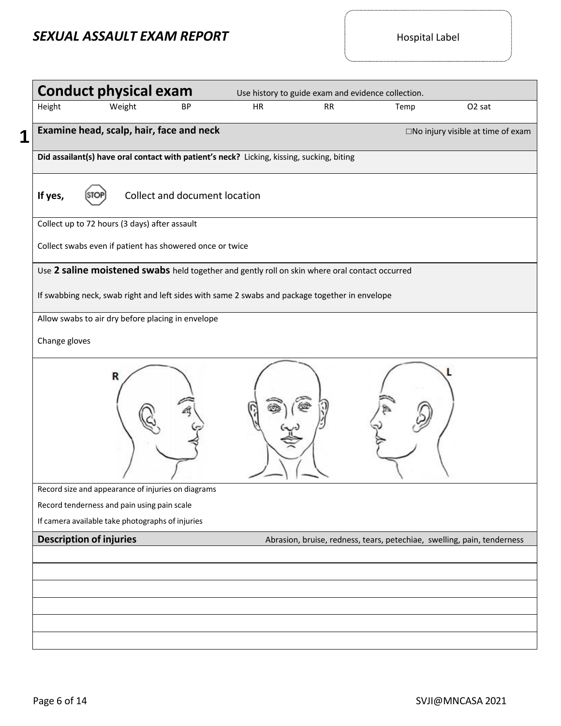| <b>Conduct physical exam</b>                                                                   |    |           | Use history to guide exam and evidence collection.                      |                                             |
|------------------------------------------------------------------------------------------------|----|-----------|-------------------------------------------------------------------------|---------------------------------------------|
| Height<br>Weight<br>BP                                                                         | HR | <b>RR</b> | Temp                                                                    | O <sub>2</sub> sat                          |
| Examine head, scalp, hair, face and neck                                                       |    |           |                                                                         | $\square$ No injury visible at time of exam |
| Did assailant(s) have oral contact with patient's neck? Licking, kissing, sucking, biting      |    |           |                                                                         |                                             |
| Collect and document location<br>If yes,                                                       |    |           |                                                                         |                                             |
| Collect up to 72 hours (3 days) after assault                                                  |    |           |                                                                         |                                             |
| Collect swabs even if patient has showered once or twice                                       |    |           |                                                                         |                                             |
| Use 2 saline moistened swabs held together and gently roll on skin where oral contact occurred |    |           |                                                                         |                                             |
| If swabbing neck, swab right and left sides with same 2 swabs and package together in envelope |    |           |                                                                         |                                             |
| Allow swabs to air dry before placing in envelope                                              |    |           |                                                                         |                                             |
| Change gloves                                                                                  |    |           |                                                                         |                                             |
| R                                                                                              |    |           |                                                                         |                                             |
| Record size and appearance of injuries on diagrams                                             |    |           |                                                                         |                                             |
| Record tenderness and pain using pain scale                                                    |    |           |                                                                         |                                             |
| If camera available take photographs of injuries                                               |    |           |                                                                         |                                             |
| <b>Description of injuries</b>                                                                 |    |           | Abrasion, bruise, redness, tears, petechiae, swelling, pain, tenderness |                                             |
|                                                                                                |    |           |                                                                         |                                             |
|                                                                                                |    |           |                                                                         |                                             |
|                                                                                                |    |           |                                                                         |                                             |
|                                                                                                |    |           |                                                                         |                                             |
|                                                                                                |    |           |                                                                         |                                             |
|                                                                                                |    |           |                                                                         |                                             |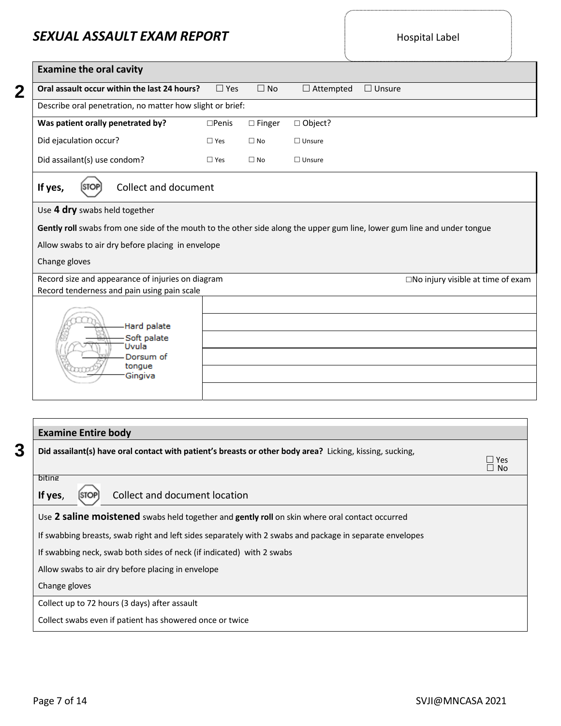| Oral assault occur within the last 24 hours?                                                                         | $\square$ Yes   | $\square$ No     | $\Box$ Attempted | $\Box$ Unsure                               |
|----------------------------------------------------------------------------------------------------------------------|-----------------|------------------|------------------|---------------------------------------------|
| Describe oral penetration, no matter how slight or brief:                                                            |                 |                  |                  |                                             |
| Was patient orally penetrated by?                                                                                    | $\square$ Penis | $\square$ Finger | □ Object?        |                                             |
| Did ejaculation occur?                                                                                               | $\Box$ Yes      | $\square$ No     | $\Box$ Unsure    |                                             |
| Did assailant(s) use condom?                                                                                         | $\Box$ Yes      | $\square$ No     | $\Box$ Unsure    |                                             |
| <b>Collect and document</b><br>If yes,<br><b>STOP</b>                                                                |                 |                  |                  |                                             |
|                                                                                                                      |                 |                  |                  |                                             |
| Allow swabs to air dry before placing in envelope                                                                    |                 |                  |                  |                                             |
| Change gloves<br>Record size and appearance of injuries on diagram                                                   |                 |                  |                  | $\square$ No injury visible at time of exam |
| Record tenderness and pain using pain scale<br>Hard palate<br>Soft palate<br>Uvula<br>Dorsum of<br>tongue<br>Gingiva |                 |                  |                  |                                             |

|                                                                                                          | $\Box$ No |
|----------------------------------------------------------------------------------------------------------|-----------|
| biting                                                                                                   |           |
| Collect and document location<br>If yes,                                                                 |           |
| Use 2 saline moistened swabs held together and gently roll on skin where oral contact occurred           |           |
| If swabbing breasts, swab right and left sides separately with 2 swabs and package in separate envelopes |           |
| If swabbing neck, swab both sides of neck (if indicated) with 2 swabs                                    |           |
| Allow swabs to air dry before placing in envelope                                                        |           |
| Change gloves                                                                                            |           |
| Collect up to 72 hours (3 days) after assault                                                            |           |
| Collect swabs even if patient has showered once or twice                                                 |           |

Yes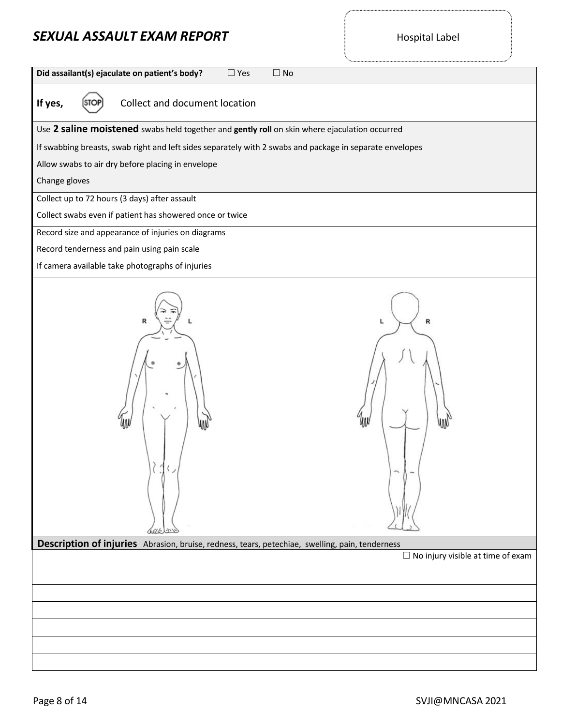**Did assailant(s) ejaculate on patient's body?** □ Yes □ No

**If yes,** [STOP] Collect and document location

Use **2 saline moistened** swabs held together and **gently roll** on skin where ejaculation occurred

If swabbing breasts, swab right and left sides separately with 2 swabs and package in separate envelopes

Allow swabs to air dry before placing in envelope

Change gloves

Collect up to 72 hours (3 days) after assault

Collect swabs even if patient has showered once or twice

Record size and appearance of injuries on diagrams

Record tenderness and pain using pain scale

If camera available take photographs of injuries

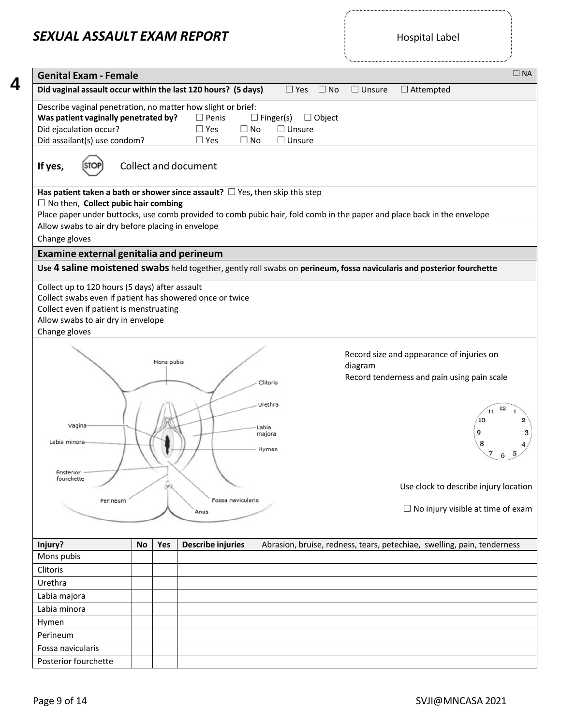.......................

| <b>Genital Exam - Female</b>                                                                                                                                   |           |            |                                                                          |                                                    |                      |               |                                                                                                                         | $\square$ NA |
|----------------------------------------------------------------------------------------------------------------------------------------------------------------|-----------|------------|--------------------------------------------------------------------------|----------------------------------------------------|----------------------|---------------|-------------------------------------------------------------------------------------------------------------------------|--------------|
| Did vaginal assault occur within the last 120 hours? (5 days)                                                                                                  |           |            |                                                                          |                                                    | $\Box$ Yes $\Box$ No | $\Box$ Unsure | $\Box$ Attempted                                                                                                        |              |
| Describe vaginal penetration, no matter how slight or brief:<br>Was patient vaginally penetrated by?<br>Did ejaculation occur?<br>Did assailant(s) use condom? |           |            | $\square$ Penis<br>$\Box$ Yes<br>$\square$ No<br>$\Box$ Yes<br>$\Box$ No | $\Box$ Finger(s)<br>$\Box$ Unsure<br>$\Box$ Unsure | $\Box$ Object        |               |                                                                                                                         |              |
| If yes,                                                                                                                                                        |           |            | Collect and document                                                     |                                                    |                      |               |                                                                                                                         |              |
| Has patient taken a bath or shower since assault? $\Box$ Yes, then skip this step                                                                              |           |            |                                                                          |                                                    |                      |               |                                                                                                                         |              |
| $\Box$ No then, Collect pubic hair combing                                                                                                                     |           |            |                                                                          |                                                    |                      |               |                                                                                                                         |              |
|                                                                                                                                                                |           |            |                                                                          |                                                    |                      |               | Place paper under buttocks, use comb provided to comb pubic hair, fold comb in the paper and place back in the envelope |              |
| Allow swabs to air dry before placing in envelope                                                                                                              |           |            |                                                                          |                                                    |                      |               |                                                                                                                         |              |
| Change gloves                                                                                                                                                  |           |            |                                                                          |                                                    |                      |               |                                                                                                                         |              |
| <b>Examine external genitalia and perineum</b>                                                                                                                 |           |            |                                                                          |                                                    |                      |               |                                                                                                                         |              |
|                                                                                                                                                                |           |            |                                                                          |                                                    |                      |               | Use 4 saline moistened swabs held together, gently roll swabs on perineum, fossa navicularis and posterior fourchette   |              |
| Collect even if patient is menstruating<br>Allow swabs to air dry in envelope<br>Change gloves                                                                 |           | Mons pubis |                                                                          |                                                    |                      |               | Record size and appearance of injuries on                                                                               |              |
|                                                                                                                                                                |           |            |                                                                          | Clitoris<br>Urethra                                |                      | diagram       | Record tenderness and pain using pain scale                                                                             | 12<br>11     |
| Vagina<br>Labia minora<br>Posterior                                                                                                                            |           |            |                                                                          | Labia<br>majora<br>Hymen                           |                      |               | 10                                                                                                                      |              |
| fourchette                                                                                                                                                     |           | Уì         | Fossa navicularis                                                        |                                                    |                      |               | Use clock to describe injury location                                                                                   |              |
| Perineum                                                                                                                                                       |           |            | Anus                                                                     |                                                    |                      |               | $\Box$ No injury visible at time of exam                                                                                |              |
| Injury?                                                                                                                                                        | <b>No</b> | Yes        | <b>Describe injuries</b>                                                 |                                                    |                      |               | Abrasion, bruise, redness, tears, petechiae, swelling, pain, tenderness                                                 |              |
| Mons pubis                                                                                                                                                     |           |            |                                                                          |                                                    |                      |               |                                                                                                                         |              |
| Clitoris                                                                                                                                                       |           |            |                                                                          |                                                    |                      |               |                                                                                                                         |              |
| Urethra                                                                                                                                                        |           |            |                                                                          |                                                    |                      |               |                                                                                                                         |              |
| Labia majora                                                                                                                                                   |           |            |                                                                          |                                                    |                      |               |                                                                                                                         |              |
| Labia minora                                                                                                                                                   |           |            |                                                                          |                                                    |                      |               |                                                                                                                         |              |
| Hymen                                                                                                                                                          |           |            |                                                                          |                                                    |                      |               |                                                                                                                         |              |
| Perineum                                                                                                                                                       |           |            |                                                                          |                                                    |                      |               |                                                                                                                         |              |
|                                                                                                                                                                |           |            |                                                                          |                                                    |                      |               |                                                                                                                         |              |
| Fossa navicularis                                                                                                                                              |           |            |                                                                          |                                                    |                      |               |                                                                                                                         |              |
| Posterior fourchette                                                                                                                                           |           |            |                                                                          |                                                    |                      |               |                                                                                                                         |              |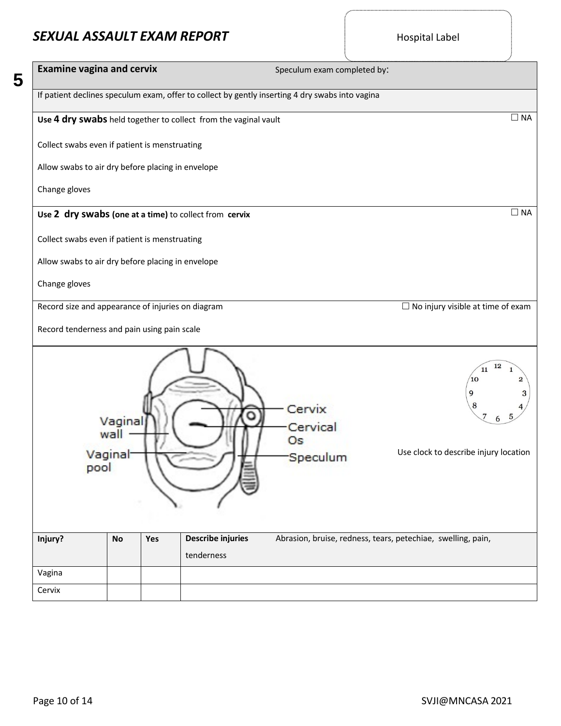5

| <b>Examine vagina and cervix</b>                                                                | Speculum exam completed by:                                                                                    |
|-------------------------------------------------------------------------------------------------|----------------------------------------------------------------------------------------------------------------|
| If patient declines speculum exam, offer to collect by gently inserting 4 dry swabs into vagina |                                                                                                                |
| Use 4 dry swabs held together to collect from the vaginal vault                                 | $\Box$ NA                                                                                                      |
| Collect swabs even if patient is menstruating                                                   |                                                                                                                |
| Allow swabs to air dry before placing in envelope                                               |                                                                                                                |
| Change gloves                                                                                   |                                                                                                                |
| Use 2 dry swabs (one at a time) to collect from cervix                                          | $\Box$ NA                                                                                                      |
| Collect swabs even if patient is menstruating                                                   |                                                                                                                |
| Allow swabs to air dry before placing in envelope                                               |                                                                                                                |
| Change gloves                                                                                   |                                                                                                                |
| Record size and appearance of injuries on diagram                                               | $\Box$ No injury visible at time of exam                                                                       |
| Record tenderness and pain using pain scale                                                     |                                                                                                                |
| Vaginal<br>wall<br>Vaginal<br>pool                                                              | 12<br>11<br>10<br>9<br>8<br>Cervix<br>O<br>Cervical<br>Os<br>Use clock to describe injury location<br>Speculum |
| Describe injuries<br>Injury?<br>Yes<br><b>No</b>                                                | Abrasion, bruise, redness, tears, petechiae, swelling, pain,                                                   |
| tenderness                                                                                      |                                                                                                                |
| Vagina                                                                                          |                                                                                                                |
| Cervix                                                                                          |                                                                                                                |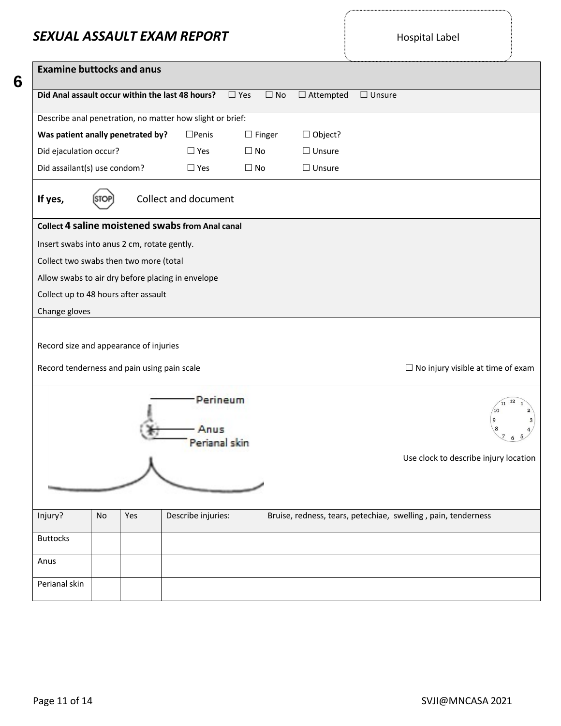| <b>Examine buttocks and anus</b>                                                      |                                   |               |                  |               |                                                               |
|---------------------------------------------------------------------------------------|-----------------------------------|---------------|------------------|---------------|---------------------------------------------------------------|
| Did Anal assault occur within the last 48 hours?                                      | $\Box$ Yes                        | $\Box$ No     | $\Box$ Attempted | $\Box$ Unsure |                                                               |
| Describe anal penetration, no matter how slight or brief:                             |                                   |               |                  |               |                                                               |
| Was patient anally penetrated by?<br>$\square$ Penis                                  |                                   | $\Box$ Finger | $\Box$ Object?   |               |                                                               |
| Did ejaculation occur?<br>$\square$ Yes                                               | $\Box$ No                         |               | $\Box$ Unsure    |               |                                                               |
| Did assailant(s) use condom?<br>$\square$ Yes                                         | $\Box$ No                         |               | $\Box$ Unsure    |               |                                                               |
| Collect and document<br>If yes,                                                       |                                   |               |                  |               |                                                               |
| Collect 4 saline moistened swabs from Anal canal                                      |                                   |               |                  |               |                                                               |
| Insert swabs into anus 2 cm, rotate gently.                                           |                                   |               |                  |               |                                                               |
| Collect two swabs then two more (total                                                |                                   |               |                  |               |                                                               |
| Allow swabs to air dry before placing in envelope                                     |                                   |               |                  |               |                                                               |
| Collect up to 48 hours after assault                                                  |                                   |               |                  |               |                                                               |
| Change gloves                                                                         |                                   |               |                  |               |                                                               |
| Record size and appearance of injuries<br>Record tenderness and pain using pain scale |                                   |               |                  |               | $\Box$ No injury visible at time of exam                      |
|                                                                                       | Perineum<br>Anus<br>Perianal skin |               |                  |               |                                                               |
|                                                                                       |                                   |               |                  |               | Use clock to describe injury location                         |
| Injury?<br>Describe injuries:<br>No<br>Yes                                            |                                   |               |                  |               | Bruise, redness, tears, petechiae, swelling, pain, tenderness |
| <b>Buttocks</b>                                                                       |                                   |               |                  |               |                                                               |
| Anus                                                                                  |                                   |               |                  |               |                                                               |
| Perianal skin                                                                         |                                   |               |                  |               |                                                               |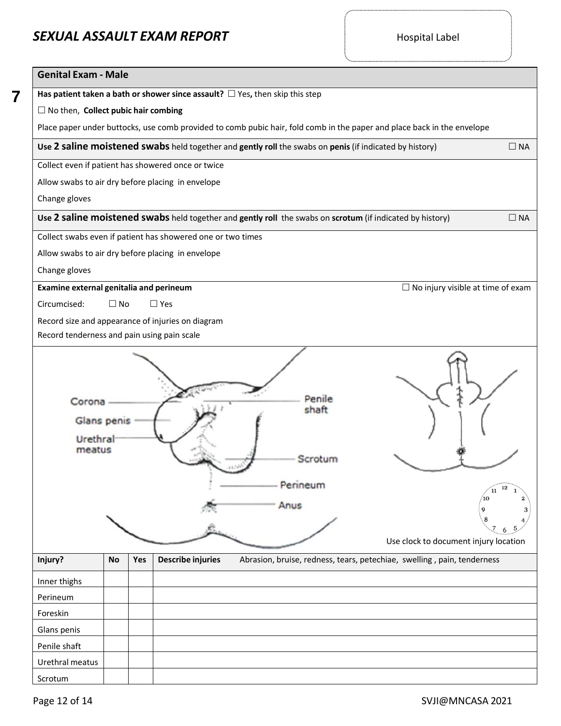| <b>Genital Exam - Male</b>                        |           |     |                                                             |                                                                                                                         |                     |  |  |  |
|---------------------------------------------------|-----------|-----|-------------------------------------------------------------|-------------------------------------------------------------------------------------------------------------------------|---------------------|--|--|--|
|                                                   |           |     |                                                             | Has patient taken a bath or shower since assault? $\Box$ Yes, then skip this step                                       |                     |  |  |  |
| $\Box$ No then, Collect pubic hair combing        |           |     |                                                             |                                                                                                                         |                     |  |  |  |
|                                                   |           |     |                                                             | Place paper under buttocks, use comb provided to comb pubic hair, fold comb in the paper and place back in the envelope |                     |  |  |  |
|                                                   |           |     |                                                             | Use 2 saline moistened swabs held together and gently roll the swabs on penis (if indicated by history)                 | $\Box$ NA           |  |  |  |
|                                                   |           |     | Collect even if patient has showered once or twice          |                                                                                                                         |                     |  |  |  |
| Allow swabs to air dry before placing in envelope |           |     |                                                             |                                                                                                                         |                     |  |  |  |
| Change gloves                                     |           |     |                                                             |                                                                                                                         |                     |  |  |  |
|                                                   |           |     |                                                             | Use 2 saline moistened swabs held together and gently roll the swabs on scrotum (if indicated by history)               | $\Box$ NA           |  |  |  |
|                                                   |           |     | Collect swabs even if patient has showered one or two times |                                                                                                                         |                     |  |  |  |
| Allow swabs to air dry before placing in envelope |           |     |                                                             |                                                                                                                         |                     |  |  |  |
| Change gloves                                     |           |     |                                                             |                                                                                                                         |                     |  |  |  |
| Examine external genitalia and perineum           |           |     |                                                             | $\Box$ No injury visible at time of exam                                                                                |                     |  |  |  |
| Circumcised:                                      | $\Box$ No |     | $\square$ Yes                                               |                                                                                                                         |                     |  |  |  |
|                                                   |           |     | Record size and appearance of injuries on diagram           |                                                                                                                         |                     |  |  |  |
| Record tenderness and pain using pain scale       |           |     |                                                             |                                                                                                                         |                     |  |  |  |
| Corona<br>Glans penis<br>Urethral<br>meatus       |           |     |                                                             | Penile<br>shaft<br>Perineum<br>Anus<br>Use clock to document injury location                                            | 12<br>11<br>10<br>9 |  |  |  |
| Injury?                                           | No        | Yes | <b>Describe injuries</b>                                    | Abrasion, bruise, redness, tears, petechiae, swelling, pain, tenderness                                                 |                     |  |  |  |
| Inner thighs                                      |           |     |                                                             |                                                                                                                         |                     |  |  |  |
| Perineum                                          |           |     |                                                             |                                                                                                                         |                     |  |  |  |
| Foreskin                                          |           |     |                                                             |                                                                                                                         |                     |  |  |  |
| Glans penis                                       |           |     |                                                             |                                                                                                                         |                     |  |  |  |
| Penile shaft                                      |           |     |                                                             |                                                                                                                         |                     |  |  |  |
| Urethral meatus                                   |           |     |                                                             |                                                                                                                         |                     |  |  |  |
| Scrotum                                           |           |     |                                                             |                                                                                                                         |                     |  |  |  |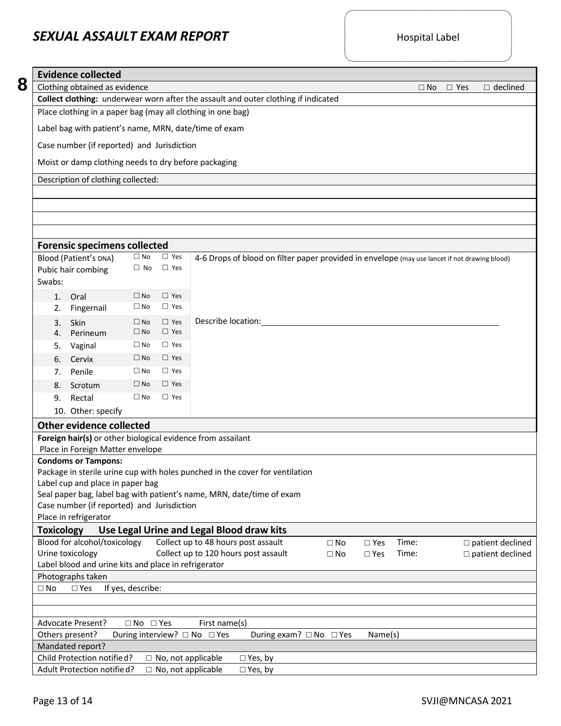|                                                                                                                                  | <b>Evidence collected</b>                                      |                           |                             |                                                                                               |           |               |                            |  |  |
|----------------------------------------------------------------------------------------------------------------------------------|----------------------------------------------------------------|---------------------------|-----------------------------|-----------------------------------------------------------------------------------------------|-----------|---------------|----------------------------|--|--|
|                                                                                                                                  | Clothing obtained as evidence                                  |                           |                             |                                                                                               | $\Box$ No | $\square$ Yes | $\Box$ declined            |  |  |
|                                                                                                                                  |                                                                |                           |                             | Collect clothing: underwear worn after the assault and outer clothing if indicated            |           |               |                            |  |  |
| Place clothing in a paper bag (may all clothing in one bag)                                                                      |                                                                |                           |                             |                                                                                               |           |               |                            |  |  |
|                                                                                                                                  | Label bag with patient's name, MRN, date/time of exam          |                           |                             |                                                                                               |           |               |                            |  |  |
|                                                                                                                                  |                                                                |                           |                             |                                                                                               |           |               |                            |  |  |
|                                                                                                                                  | Case number (if reported) and Jurisdiction                     |                           |                             |                                                                                               |           |               |                            |  |  |
|                                                                                                                                  | Moist or damp clothing needs to dry before packaging           |                           |                             |                                                                                               |           |               |                            |  |  |
|                                                                                                                                  | Description of clothing collected:                             |                           |                             |                                                                                               |           |               |                            |  |  |
|                                                                                                                                  |                                                                |                           |                             |                                                                                               |           |               |                            |  |  |
|                                                                                                                                  |                                                                |                           |                             |                                                                                               |           |               |                            |  |  |
|                                                                                                                                  |                                                                |                           |                             |                                                                                               |           |               |                            |  |  |
|                                                                                                                                  |                                                                |                           |                             |                                                                                               |           |               |                            |  |  |
|                                                                                                                                  | <b>Forensic specimens collected</b>                            |                           |                             |                                                                                               |           |               |                            |  |  |
|                                                                                                                                  | Blood (Patient's DNA)                                          | $\square$ No<br>$\Box$ No | $\square$ Yes<br>$\Box$ Yes | 4-6 Drops of blood on filter paper provided in envelope (may use lancet if not drawing blood) |           |               |                            |  |  |
| Swabs:                                                                                                                           | Pubic hair combing                                             |                           |                             |                                                                                               |           |               |                            |  |  |
| 1.                                                                                                                               | Oral                                                           | $\square$ No              | $\Box$ Yes                  |                                                                                               |           |               |                            |  |  |
| 2.                                                                                                                               | Fingernail                                                     | $\square$ No              | $\Box$ Yes                  |                                                                                               |           |               |                            |  |  |
| 3.                                                                                                                               | Skin                                                           | $\square$ No              | $\Box$ Yes                  | Describe location:                                                                            |           |               |                            |  |  |
| 4.                                                                                                                               | Perineum                                                       | $\square$ No              | $\Box$ Yes                  |                                                                                               |           |               |                            |  |  |
| 5.                                                                                                                               | Vaginal                                                        | $\square$ No              | $\Box$ Yes                  |                                                                                               |           |               |                            |  |  |
| 6.                                                                                                                               | Cervix                                                         | $\square$ No              | $\Box$ Yes                  |                                                                                               |           |               |                            |  |  |
| 7.                                                                                                                               | Penile                                                         | $\square$ No              | $\Box$ Yes                  |                                                                                               |           |               |                            |  |  |
| 8.                                                                                                                               | Scrotum                                                        | $\square$ No              | $\Box$ Yes                  |                                                                                               |           |               |                            |  |  |
| 9.                                                                                                                               | Rectal                                                         | $\square$ No              | $\Box$ Yes                  |                                                                                               |           |               |                            |  |  |
|                                                                                                                                  | 10. Other: specify                                             |                           |                             |                                                                                               |           |               |                            |  |  |
|                                                                                                                                  | Other evidence collected                                       |                           |                             |                                                                                               |           |               |                            |  |  |
|                                                                                                                                  |                                                                |                           |                             | Foreign hair(s) or other biological evidence from assailant                                   |           |               |                            |  |  |
|                                                                                                                                  | Place in Foreign Matter envelope<br><b>Condoms or Tampons:</b> |                           |                             |                                                                                               |           |               |                            |  |  |
|                                                                                                                                  |                                                                |                           |                             | Package in sterile urine cup with holes punched in the cover for ventilation                  |           |               |                            |  |  |
|                                                                                                                                  | Label cup and place in paper bag                               |                           |                             |                                                                                               |           |               |                            |  |  |
|                                                                                                                                  | Case number (if reported) and Jurisdiction                     |                           |                             | Seal paper bag, label bag with patient's name, MRN, date/time of exam                         |           |               |                            |  |  |
|                                                                                                                                  | Place in refrigerator                                          |                           |                             |                                                                                               |           |               |                            |  |  |
| <b>Toxicology</b>                                                                                                                |                                                                |                           |                             | Use Legal Urine and Legal Blood draw kits                                                     |           |               |                            |  |  |
|                                                                                                                                  | Blood for alcohol/toxicology                                   |                           |                             | Collect up to 48 hours post assault<br>$\square$ Yes<br>$\square$ No                          | Time:     |               | $\square$ patient declined |  |  |
| Collect up to 120 hours post assault<br>Urine toxicology<br>$\square$ patient declined<br>$\square$ No<br>$\square$ Yes<br>Time: |                                                                |                           |                             |                                                                                               |           |               |                            |  |  |
|                                                                                                                                  | Label blood and urine kits and place in refrigerator           |                           |                             |                                                                                               |           |               |                            |  |  |
|                                                                                                                                  | Photographs taken                                              |                           |                             |                                                                                               |           |               |                            |  |  |
| $\square$ No                                                                                                                     | $\square$ Yes                                                  | If yes, describe:         |                             |                                                                                               |           |               |                            |  |  |
|                                                                                                                                  |                                                                |                           |                             |                                                                                               |           |               |                            |  |  |
|                                                                                                                                  | <b>Advocate Present?</b>                                       | $\Box$ No $\Box$ Yes      |                             | First name(s)                                                                                 |           |               |                            |  |  |
| Others present?                                                                                                                  |                                                                |                           |                             | During interview? □ No □ Yes<br>During exam? □ No □ Yes<br>Name(s)                            |           |               |                            |  |  |
|                                                                                                                                  | Mandated report?                                               |                           |                             |                                                                                               |           |               |                            |  |  |
|                                                                                                                                  | Child Protection notified?<br>Adult Protection notified?       |                           | $\Box$ No, not applicable   | $\Box$ No, not applicable<br>$\Box$ Yes, by<br>$\Box$ Yes, by                                 |           |               |                            |  |  |